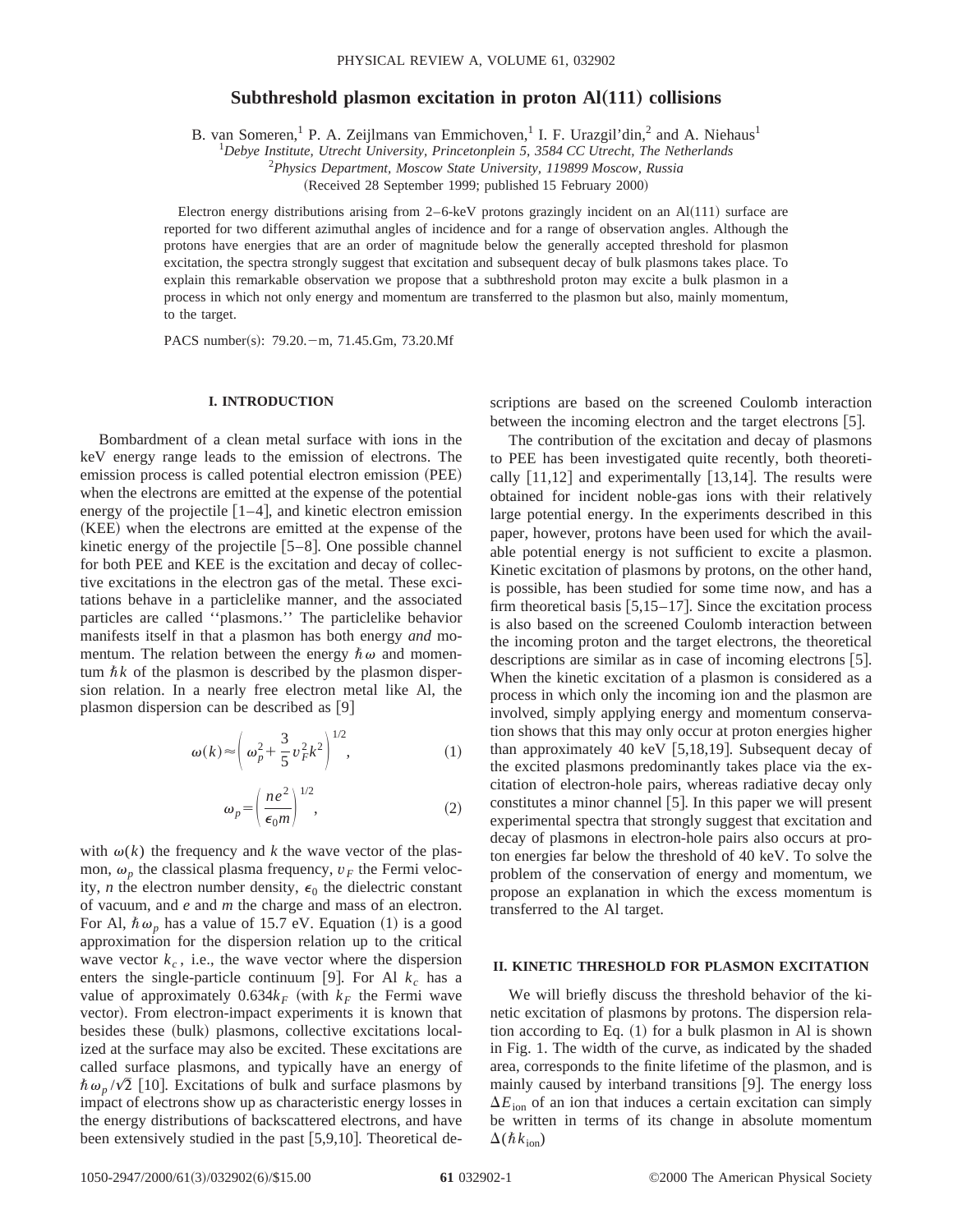# **Subthreshold plasmon excitation in proton Al(111) collisions**

B. van Someren, <sup>1</sup> P. A. Zeijlmans van Emmichoven, <sup>1</sup> I. F. Urazgil'din, <sup>2</sup> and A. Niehaus<sup>1</sup>

1 *Debye Institute, Utrecht University, Princetonplein 5, 3584 CC Utrecht, The Netherlands*

2 *Physics Department, Moscow State University, 119899 Moscow, Russia*

(Received 28 September 1999; published 15 February 2000)

Electron energy distributions arising from  $2-6$ -keV protons grazingly incident on an Al $(111)$  surface are reported for two different azimuthal angles of incidence and for a range of observation angles. Although the protons have energies that are an order of magnitude below the generally accepted threshold for plasmon excitation, the spectra strongly suggest that excitation and subsequent decay of bulk plasmons takes place. To explain this remarkable observation we propose that a subthreshold proton may excite a bulk plasmon in a process in which not only energy and momentum are transferred to the plasmon but also, mainly momentum, to the target.

PACS number(s): 79.20. - m, 71.45.Gm, 73.20.Mf

### **I. INTRODUCTION**

Bombardment of a clean metal surface with ions in the keV energy range leads to the emission of electrons. The emission process is called potential electron emission (PEE) when the electrons are emitted at the expense of the potential energy of the projectile  $[1-4]$ , and kinetic electron emission (KEE) when the electrons are emitted at the expense of the kinetic energy of the projectile  $[5-8]$ . One possible channel for both PEE and KEE is the excitation and decay of collective excitations in the electron gas of the metal. These excitations behave in a particlelike manner, and the associated particles are called ''plasmons.'' The particlelike behavior manifests itself in that a plasmon has both energy *and* momentum. The relation between the energy  $\hbar \omega$  and momentum  $\hbar k$  of the plasmon is described by the plasmon dispersion relation. In a nearly free electron metal like Al, the plasmon dispersion can be described as  $[9]$ 

$$
\omega(k) \approx \left(\omega_p^2 + \frac{3}{5}v_F^2k^2\right)^{1/2},\tag{1}
$$

$$
\omega_p = \left(\frac{ne^2}{\epsilon_0 m}\right)^{1/2},\tag{2}
$$

with  $\omega(k)$  the frequency and *k* the wave vector of the plasmon,  $\omega_p$  the classical plasma frequency,  $v_F$  the Fermi velocity, *n* the electron number density,  $\epsilon_0$  the dielectric constant of vacuum, and *e* and *m* the charge and mass of an electron. For Al,  $\hbar \omega_p$  has a value of 15.7 eV. Equation (1) is a good approximation for the dispersion relation up to the critical wave vector  $k_c$ , i.e., the wave vector where the dispersion enters the single-particle continuum [9]. For Al  $k_c$  has a value of approximately  $0.634k_F$  (with  $k_F$  the Fermi wave vector). From electron-impact experiments it is known that besides these (bulk) plasmons, collective excitations localized at the surface may also be excited. These excitations are called surface plasmons, and typically have an energy of  $\hbar \omega_p / \sqrt{2}$  [10]. Excitations of bulk and surface plasmons by impact of electrons show up as characteristic energy losses in the energy distributions of backscattered electrons, and have been extensively studied in the past  $[5,9,10]$ . Theoretical descriptions are based on the screened Coulomb interaction between the incoming electron and the target electrons  $|5|$ .

The contribution of the excitation and decay of plasmons to PEE has been investigated quite recently, both theoretically  $[11,12]$  and experimentally  $[13,14]$ . The results were obtained for incident noble-gas ions with their relatively large potential energy. In the experiments described in this paper, however, protons have been used for which the available potential energy is not sufficient to excite a plasmon. Kinetic excitation of plasmons by protons, on the other hand, is possible, has been studied for some time now, and has a firm theoretical basis  $[5,15-17]$ . Since the excitation process is also based on the screened Coulomb interaction between the incoming proton and the target electrons, the theoretical descriptions are similar as in case of incoming electrons  $[5]$ . When the kinetic excitation of a plasmon is considered as a process in which only the incoming ion and the plasmon are involved, simply applying energy and momentum conservation shows that this may only occur at proton energies higher than approximately 40 keV  $[5,18,19]$ . Subsequent decay of the excited plasmons predominantly takes place via the excitation of electron-hole pairs, whereas radiative decay only constitutes a minor channel  $[5]$ . In this paper we will present experimental spectra that strongly suggest that excitation and decay of plasmons in electron-hole pairs also occurs at proton energies far below the threshold of 40 keV. To solve the problem of the conservation of energy and momentum, we propose an explanation in which the excess momentum is transferred to the Al target.

## **II. KINETIC THRESHOLD FOR PLASMON EXCITATION**

We will briefly discuss the threshold behavior of the kinetic excitation of plasmons by protons. The dispersion relation according to Eq.  $(1)$  for a bulk plasmon in Al is shown in Fig. 1. The width of the curve, as indicated by the shaded area, corresponds to the finite lifetime of the plasmon, and is mainly caused by interband transitions [9]. The energy loss  $\Delta E_{\text{ion}}$  of an ion that induces a certain excitation can simply be written in terms of its change in absolute momentum  $\Delta(\hbar k_{\text{ion}})$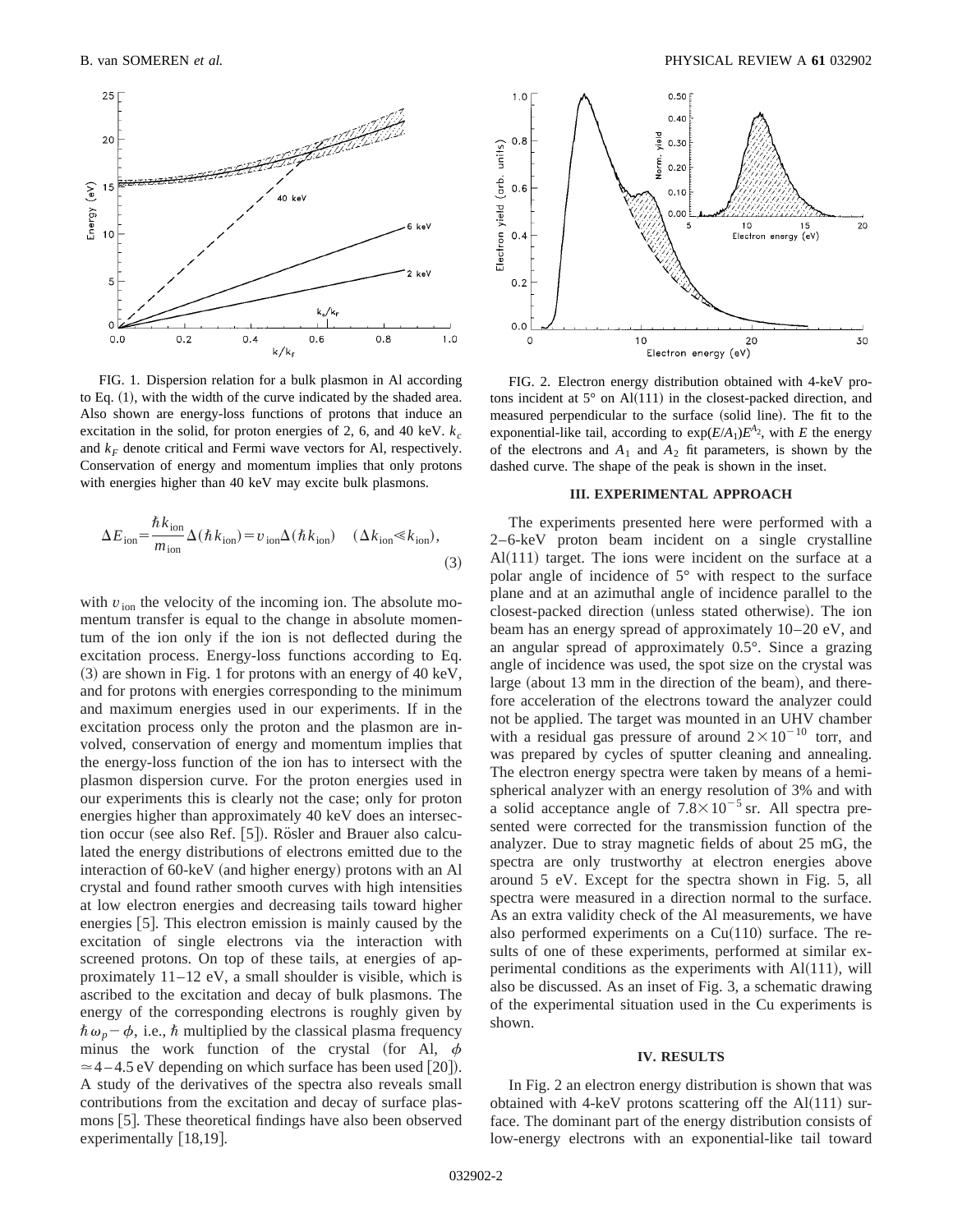

FIG. 1. Dispersion relation for a bulk plasmon in Al according to Eq.  $(1)$ , with the width of the curve indicated by the shaded area. Also shown are energy-loss functions of protons that induce an excitation in the solid, for proton energies of 2, 6, and 40 keV.  $k_c$ and  $k_F$  denote critical and Fermi wave vectors for Al, respectively. Conservation of energy and momentum implies that only protons with energies higher than 40 keV may excite bulk plasmons.

$$
\Delta E_{\text{ion}} = \frac{\hbar k_{\text{ion}}}{m_{\text{ion}}} \Delta(\hbar k_{\text{ion}}) = v_{\text{ion}} \Delta(\hbar k_{\text{ion}}) \quad (\Delta k_{\text{ion}} \ll k_{\text{ion}}),
$$
\n(3)

with  $v_{\text{ion}}$  the velocity of the incoming ion. The absolute momentum transfer is equal to the change in absolute momentum of the ion only if the ion is not deflected during the excitation process. Energy-loss functions according to Eq.  $(3)$  are shown in Fig. 1 for protons with an energy of 40 keV, and for protons with energies corresponding to the minimum and maximum energies used in our experiments. If in the excitation process only the proton and the plasmon are involved, conservation of energy and momentum implies that the energy-loss function of the ion has to intersect with the plasmon dispersion curve. For the proton energies used in our experiments this is clearly not the case; only for proton energies higher than approximately 40 keV does an intersection occur (see also Ref.  $[5]$ ). Rösler and Brauer also calculated the energy distributions of electrons emitted due to the interaction of  $60$ -keV (and higher energy) protons with an Al crystal and found rather smooth curves with high intensities at low electron energies and decreasing tails toward higher energies  $[5]$ . This electron emission is mainly caused by the excitation of single electrons via the interaction with screened protons. On top of these tails, at energies of approximately 11–12 eV, a small shoulder is visible, which is ascribed to the excitation and decay of bulk plasmons. The energy of the corresponding electrons is roughly given by  $\hbar \omega_p - \phi$ , i.e.,  $\hbar$  multiplied by the classical plasma frequency minus the work function of the crystal (for Al,  $\phi$  $\approx$  4 – 4.5 eV depending on which surface has been used [20]). A study of the derivatives of the spectra also reveals small contributions from the excitation and decay of surface plasmons [5]. These theoretical findings have also been observed experimentally  $[18,19]$ .



FIG. 2. Electron energy distribution obtained with 4-keV protons incident at  $5^{\circ}$  on Al(111) in the closest-packed direction, and measured perpendicular to the surface (solid line). The fit to the exponential-like tail, according to  $exp(E/A_1)E^{A_2}$ , with *E* the energy of the electrons and  $A_1$  and  $A_2$  fit parameters, is shown by the dashed curve. The shape of the peak is shown in the inset.

#### **III. EXPERIMENTAL APPROACH**

The experiments presented here were performed with a 2–6-keV proton beam incident on a single crystalline  $Al(111)$  target. The ions were incident on the surface at a polar angle of incidence of 5° with respect to the surface plane and at an azimuthal angle of incidence parallel to the closest-packed direction (unless stated otherwise). The ion beam has an energy spread of approximately 10–20 eV, and an angular spread of approximately 0.5°. Since a grazing angle of incidence was used, the spot size on the crystal was large (about 13 mm in the direction of the beam), and therefore acceleration of the electrons toward the analyzer could not be applied. The target was mounted in an UHV chamber with a residual gas pressure of around  $2 \times 10^{-10}$  torr, and was prepared by cycles of sputter cleaning and annealing. The electron energy spectra were taken by means of a hemispherical analyzer with an energy resolution of 3% and with a solid acceptance angle of  $7.8 \times 10^{-5}$  sr. All spectra presented were corrected for the transmission function of the analyzer. Due to stray magnetic fields of about 25 mG, the spectra are only trustworthy at electron energies above around 5 eV. Except for the spectra shown in Fig. 5, all spectra were measured in a direction normal to the surface. As an extra validity check of the Al measurements, we have also performed experiments on a  $Cu(110)$  surface. The results of one of these experiments, performed at similar experimental conditions as the experiments with  $Al(111)$ , will also be discussed. As an inset of Fig. 3, a schematic drawing of the experimental situation used in the Cu experiments is shown.

#### **IV. RESULTS**

In Fig. 2 an electron energy distribution is shown that was obtained with 4-keV protons scattering off the  $Al(111)$  surface. The dominant part of the energy distribution consists of low-energy electrons with an exponential-like tail toward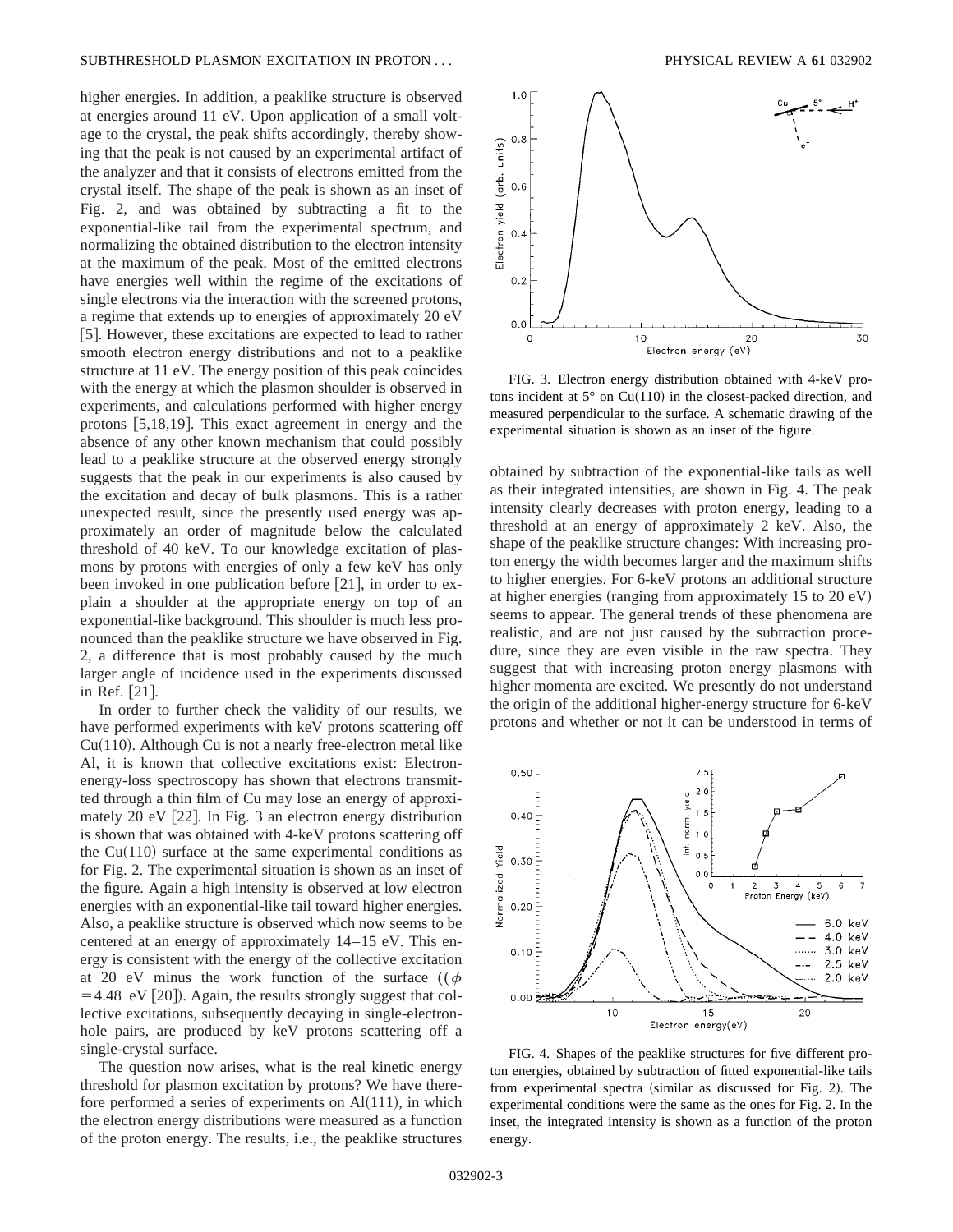higher energies. In addition, a peaklike structure is observed at energies around 11 eV. Upon application of a small voltage to the crystal, the peak shifts accordingly, thereby showing that the peak is not caused by an experimental artifact of the analyzer and that it consists of electrons emitted from the crystal itself. The shape of the peak is shown as an inset of Fig. 2, and was obtained by subtracting a fit to the exponential-like tail from the experimental spectrum, and normalizing the obtained distribution to the electron intensity at the maximum of the peak. Most of the emitted electrons have energies well within the regime of the excitations of single electrons via the interaction with the screened protons, a regime that extends up to energies of approximately 20 eV [5]. However, these excitations are expected to lead to rather smooth electron energy distributions and not to a peaklike structure at 11 eV. The energy position of this peak coincides with the energy at which the plasmon shoulder is observed in experiments, and calculations performed with higher energy protons  $[5,18,19]$ . This exact agreement in energy and the absence of any other known mechanism that could possibly lead to a peaklike structure at the observed energy strongly suggests that the peak in our experiments is also caused by the excitation and decay of bulk plasmons. This is a rather unexpected result, since the presently used energy was approximately an order of magnitude below the calculated threshold of 40 keV. To our knowledge excitation of plasmons by protons with energies of only a few keV has only been invoked in one publication before  $[21]$ , in order to explain a shoulder at the appropriate energy on top of an exponential-like background. This shoulder is much less pronounced than the peaklike structure we have observed in Fig. 2, a difference that is most probably caused by the much larger angle of incidence used in the experiments discussed in Ref. [21].

In order to further check the validity of our results, we have performed experiments with keV protons scattering off  $Cu(110)$ . Although Cu is not a nearly free-electron metal like Al, it is known that collective excitations exist: Electronenergy-loss spectroscopy has shown that electrons transmitted through a thin film of Cu may lose an energy of approximately 20 eV  $[22]$ . In Fig. 3 an electron energy distribution is shown that was obtained with 4-keV protons scattering off the  $Cu(110)$  surface at the same experimental conditions as for Fig. 2. The experimental situation is shown as an inset of the figure. Again a high intensity is observed at low electron energies with an exponential-like tail toward higher energies. Also, a peaklike structure is observed which now seems to be centered at an energy of approximately 14–15 eV. This energy is consistent with the energy of the collective excitation at 20 eV minus the work function of the surface  $((\phi$  $=4.48$  eV [20]). Again, the results strongly suggest that collective excitations, subsequently decaying in single-electronhole pairs, are produced by keV protons scattering off a single-crystal surface.

The question now arises, what is the real kinetic energy threshold for plasmon excitation by protons? We have therefore performed a series of experiments on  $Al(111)$ , in which the electron energy distributions were measured as a function of the proton energy. The results, i.e., the peaklike structures



FIG. 3. Electron energy distribution obtained with 4-keV protons incident at  $5^{\circ}$  on Cu(110) in the closest-packed direction, and measured perpendicular to the surface. A schematic drawing of the experimental situation is shown as an inset of the figure.

obtained by subtraction of the exponential-like tails as well as their integrated intensities, are shown in Fig. 4. The peak intensity clearly decreases with proton energy, leading to a threshold at an energy of approximately 2 keV. Also, the shape of the peaklike structure changes: With increasing proton energy the width becomes larger and the maximum shifts to higher energies. For 6-keV protons an additional structure at higher energies (ranging from approximately 15 to  $20 eV$ ) seems to appear. The general trends of these phenomena are realistic, and are not just caused by the subtraction procedure, since they are even visible in the raw spectra. They suggest that with increasing proton energy plasmons with higher momenta are excited. We presently do not understand the origin of the additional higher-energy structure for 6-keV protons and whether or not it can be understood in terms of



FIG. 4. Shapes of the peaklike structures for five different proton energies, obtained by subtraction of fitted exponential-like tails from experimental spectra (similar as discussed for Fig. 2). The experimental conditions were the same as the ones for Fig. 2. In the inset, the integrated intensity is shown as a function of the proton energy.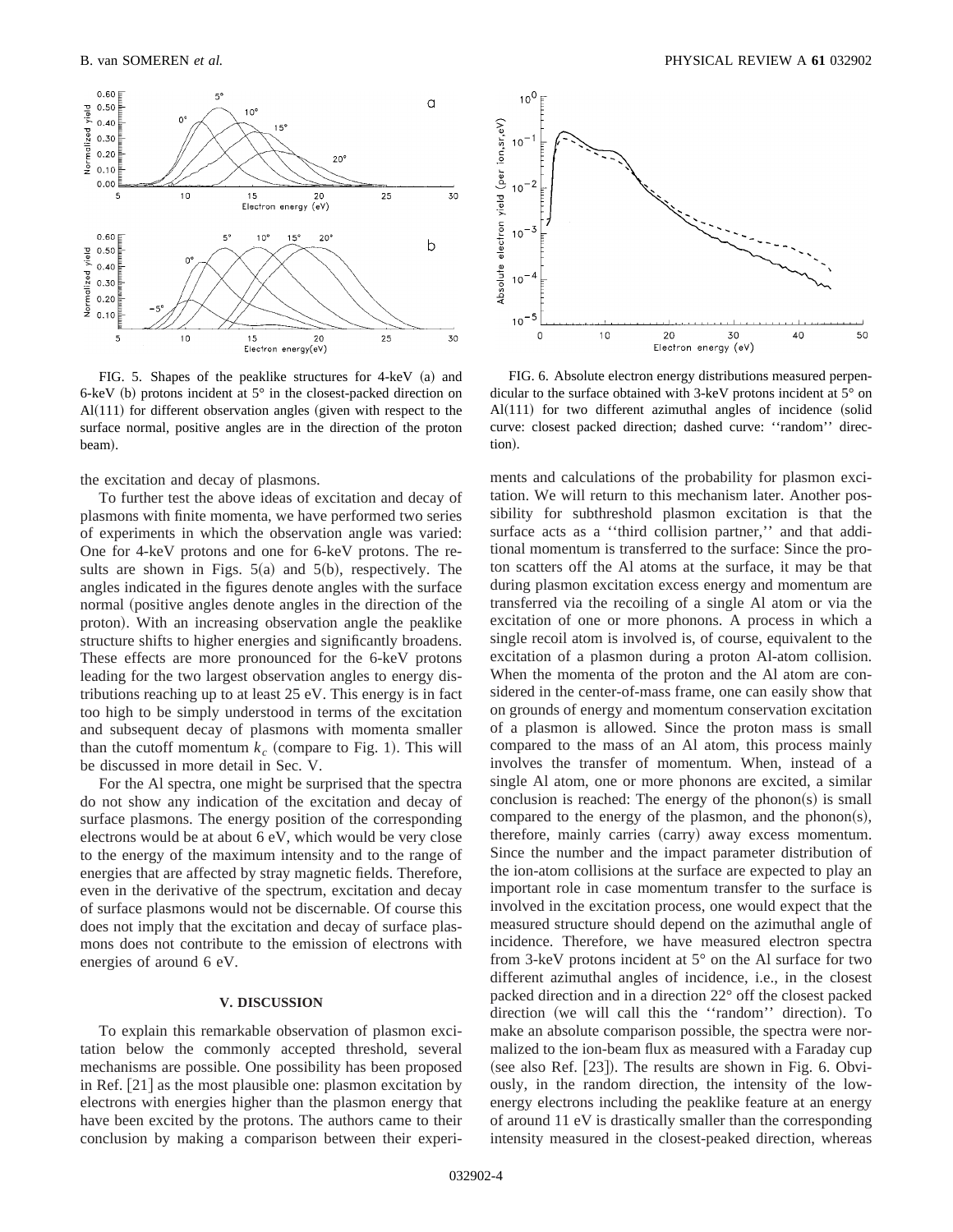

FIG. 5. Shapes of the peaklike structures for  $4$ -keV  $(a)$  and 6-keV (b) protons incident at  $5^\circ$  in the closest-packed direction on Al $(111)$  for different observation angles (given with respect to the surface normal, positive angles are in the direction of the proton beam).

the excitation and decay of plasmons.

To further test the above ideas of excitation and decay of plasmons with finite momenta, we have performed two series of experiments in which the observation angle was varied: One for 4-keV protons and one for 6-keV protons. The results are shown in Figs.  $5(a)$  and  $5(b)$ , respectively. The angles indicated in the figures denote angles with the surface normal (positive angles denote angles in the direction of the proton). With an increasing observation angle the peaklike structure shifts to higher energies and significantly broadens. These effects are more pronounced for the 6-keV protons leading for the two largest observation angles to energy distributions reaching up to at least 25 eV. This energy is in fact too high to be simply understood in terms of the excitation and subsequent decay of plasmons with momenta smaller than the cutoff momentum  $k_c$  (compare to Fig. 1). This will be discussed in more detail in Sec. V.

For the Al spectra, one might be surprised that the spectra do not show any indication of the excitation and decay of surface plasmons. The energy position of the corresponding electrons would be at about 6 eV, which would be very close to the energy of the maximum intensity and to the range of energies that are affected by stray magnetic fields. Therefore, even in the derivative of the spectrum, excitation and decay of surface plasmons would not be discernable. Of course this does not imply that the excitation and decay of surface plasmons does not contribute to the emission of electrons with energies of around 6 eV.

### **V. DISCUSSION**

To explain this remarkable observation of plasmon excitation below the commonly accepted threshold, several mechanisms are possible. One possibility has been proposed in Ref.  $[21]$  as the most plausible one: plasmon excitation by electrons with energies higher than the plasmon energy that have been excited by the protons. The authors came to their conclusion by making a comparison between their experi-



FIG. 6. Absolute electron energy distributions measured perpendicular to the surface obtained with 3-keV protons incident at 5° on Al $(111)$  for two different azimuthal angles of incidence (solid curve: closest packed direction; dashed curve: ''random'' direction).

ments and calculations of the probability for plasmon excitation. We will return to this mechanism later. Another possibility for subthreshold plasmon excitation is that the surface acts as a "third collision partner," and that additional momentum is transferred to the surface: Since the proton scatters off the Al atoms at the surface, it may be that during plasmon excitation excess energy and momentum are transferred via the recoiling of a single Al atom or via the excitation of one or more phonons. A process in which a single recoil atom is involved is, of course, equivalent to the excitation of a plasmon during a proton Al-atom collision. When the momenta of the proton and the Al atom are considered in the center-of-mass frame, one can easily show that on grounds of energy and momentum conservation excitation of a plasmon is allowed. Since the proton mass is small compared to the mass of an Al atom, this process mainly involves the transfer of momentum. When, instead of a single Al atom, one or more phonons are excited, a similar conclusion is reached: The energy of the phonon(s) is small compared to the energy of the plasmon, and the phonon(s), therefore, mainly carries (carry) away excess momentum. Since the number and the impact parameter distribution of the ion-atom collisions at the surface are expected to play an important role in case momentum transfer to the surface is involved in the excitation process, one would expect that the measured structure should depend on the azimuthal angle of incidence. Therefore, we have measured electron spectra from 3-keV protons incident at 5° on the Al surface for two different azimuthal angles of incidence, i.e., in the closest packed direction and in a direction 22° off the closest packed direction (we will call this the "random" direction). To make an absolute comparison possible, the spectra were normalized to the ion-beam flux as measured with a Faraday cup (see also Ref.  $[23]$ ). The results are shown in Fig. 6. Obviously, in the random direction, the intensity of the lowenergy electrons including the peaklike feature at an energy of around 11 eV is drastically smaller than the corresponding intensity measured in the closest-peaked direction, whereas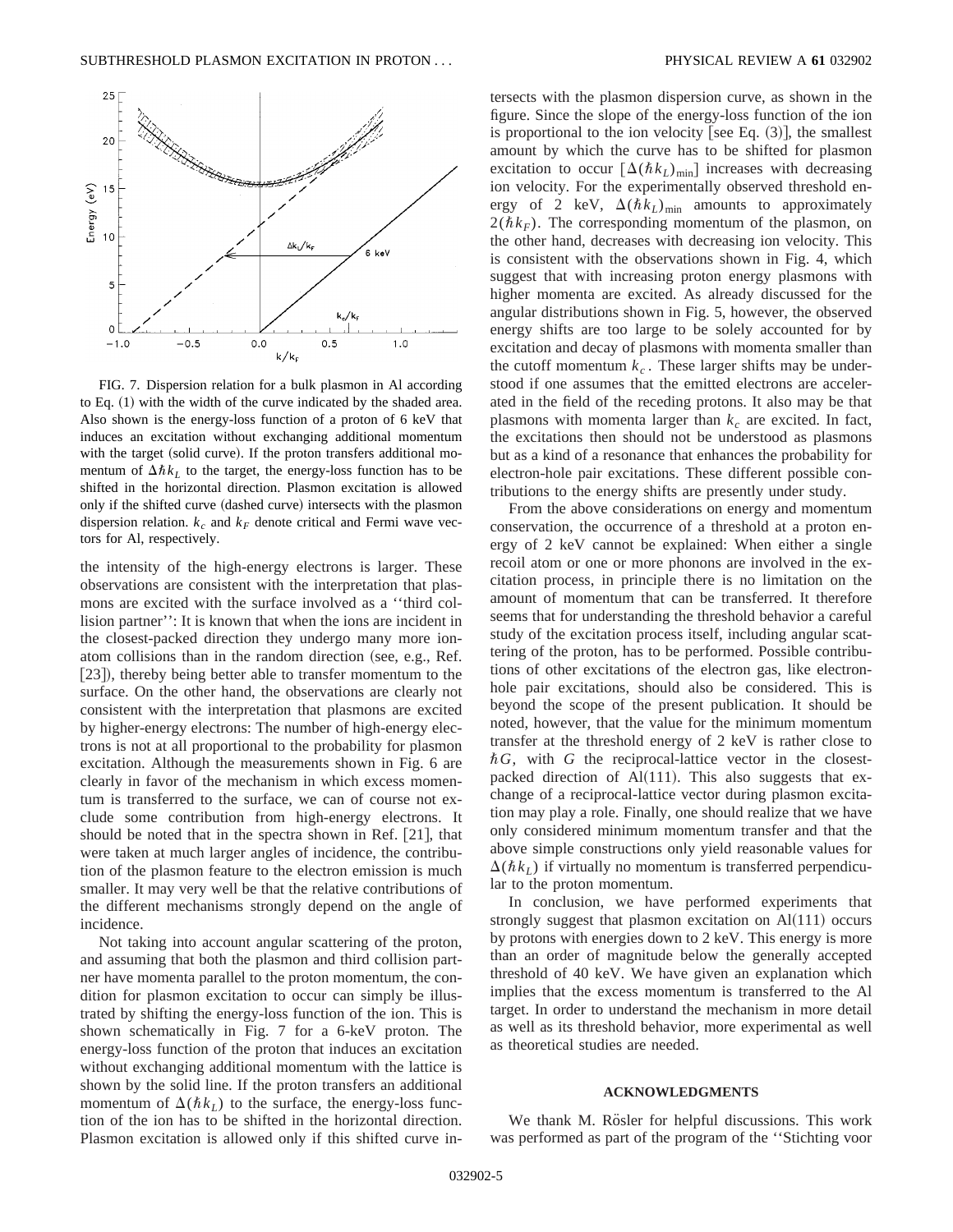

FIG. 7. Dispersion relation for a bulk plasmon in Al according to Eq.  $(1)$  with the width of the curve indicated by the shaded area. Also shown is the energy-loss function of a proton of 6 keV that induces an excitation without exchanging additional momentum with the target (solid curve). If the proton transfers additional momentum of  $\Delta\hbar k_L$  to the target, the energy-loss function has to be shifted in the horizontal direction. Plasmon excitation is allowed only if the shifted curve (dashed curve) intersects with the plasmon dispersion relation.  $k_c$  and  $k_F$  denote critical and Fermi wave vectors for Al, respectively.

the intensity of the high-energy electrons is larger. These observations are consistent with the interpretation that plasmons are excited with the surface involved as a ''third collision partner'': It is known that when the ions are incident in the closest-packed direction they undergo many more ionatom collisions than in the random direction (see, e.g., Ref. [23]), thereby being better able to transfer momentum to the surface. On the other hand, the observations are clearly not consistent with the interpretation that plasmons are excited by higher-energy electrons: The number of high-energy electrons is not at all proportional to the probability for plasmon excitation. Although the measurements shown in Fig. 6 are clearly in favor of the mechanism in which excess momentum is transferred to the surface, we can of course not exclude some contribution from high-energy electrons. It should be noted that in the spectra shown in Ref.  $[21]$ , that were taken at much larger angles of incidence, the contribution of the plasmon feature to the electron emission is much smaller. It may very well be that the relative contributions of the different mechanisms strongly depend on the angle of incidence.

Not taking into account angular scattering of the proton, and assuming that both the plasmon and third collision partner have momenta parallel to the proton momentum, the condition for plasmon excitation to occur can simply be illustrated by shifting the energy-loss function of the ion. This is shown schematically in Fig. 7 for a 6-keV proton. The energy-loss function of the proton that induces an excitation without exchanging additional momentum with the lattice is shown by the solid line. If the proton transfers an additional momentum of  $\Delta(\hbar k_L)$  to the surface, the energy-loss function of the ion has to be shifted in the horizontal direction. Plasmon excitation is allowed only if this shifted curve intersects with the plasmon dispersion curve, as shown in the figure. Since the slope of the energy-loss function of the ion is proportional to the ion velocity [see Eq.  $(3)$ ], the smallest amount by which the curve has to be shifted for plasmon excitation to occur  $\left[\Delta(\hbar k_L)_{\text{min}}\right]$  increases with decreasing ion velocity. For the experimentally observed threshold energy of 2 keV,  $\Delta(\hbar k_L)_{\text{min}}$  amounts to approximately  $2(\hbar k_F)$ . The corresponding momentum of the plasmon, on the other hand, decreases with decreasing ion velocity. This is consistent with the observations shown in Fig. 4, which suggest that with increasing proton energy plasmons with higher momenta are excited. As already discussed for the angular distributions shown in Fig. 5, however, the observed energy shifts are too large to be solely accounted for by excitation and decay of plasmons with momenta smaller than the cutoff momentum  $k_c$ . These larger shifts may be understood if one assumes that the emitted electrons are accelerated in the field of the receding protons. It also may be that plasmons with momenta larger than  $k<sub>c</sub>$  are excited. In fact, the excitations then should not be understood as plasmons but as a kind of a resonance that enhances the probability for electron-hole pair excitations. These different possible contributions to the energy shifts are presently under study.

From the above considerations on energy and momentum conservation, the occurrence of a threshold at a proton energy of 2 keV cannot be explained: When either a single recoil atom or one or more phonons are involved in the excitation process, in principle there is no limitation on the amount of momentum that can be transferred. It therefore seems that for understanding the threshold behavior a careful study of the excitation process itself, including angular scattering of the proton, has to be performed. Possible contributions of other excitations of the electron gas, like electronhole pair excitations, should also be considered. This is beyond the scope of the present publication. It should be noted, however, that the value for the minimum momentum transfer at the threshold energy of 2 keV is rather close to  $\hbar G$ , with  $G$  the reciprocal-lattice vector in the closestpacked direction of Al $(111)$ . This also suggests that exchange of a reciprocal-lattice vector during plasmon excitation may play a role. Finally, one should realize that we have only considered minimum momentum transfer and that the above simple constructions only yield reasonable values for  $\Delta(\hbar k_l)$  if virtually no momentum is transferred perpendicular to the proton momentum.

In conclusion, we have performed experiments that strongly suggest that plasmon excitation on  $Al(111)$  occurs by protons with energies down to 2 keV. This energy is more than an order of magnitude below the generally accepted threshold of 40 keV. We have given an explanation which implies that the excess momentum is transferred to the Al target. In order to understand the mechanism in more detail as well as its threshold behavior, more experimental as well as theoretical studies are needed.

#### **ACKNOWLEDGMENTS**

We thank M. Rösler for helpful discussions. This work was performed as part of the program of the ''Stichting voor